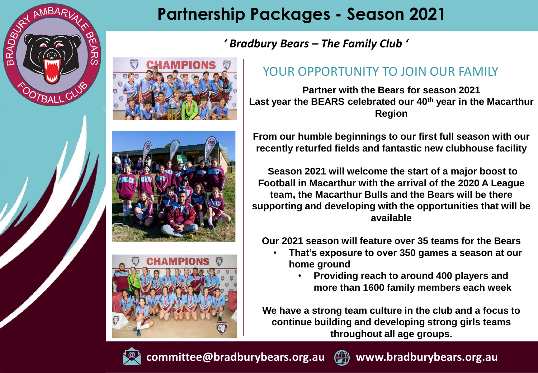

*' Bradbury Bears – The Family Club '*

#### YOUR OPPORTUNITY TO JOIN OUR FAMILY

**Partner with the Bears for season 2021 Last year the BEARS celebrated our 40th year in the Macarthur Region**

**From our humble beginnings to our first full season with our recently returfed fields and fantastic new clubhouse facility**

**Season 2021 will welcome the start of a major boost to Football in Macarthur with the arrival of the 2020 A League team, the Macarthur Bulls and the Bears will be there supporting and developing with the opportunities that will be available**

**Our 2021 season will feature over 35 teams for the Bears**

- **That's exposure to over 350 games a season at our home ground**
	- **Providing reach to around 400 players and more than 1600 family members each week**

**We have a strong team culture in the club and a focus to continue building and developing strong girls teams throughout all age groups.**



**committee@bradburybears.org.au www.bradburybears.org.au**

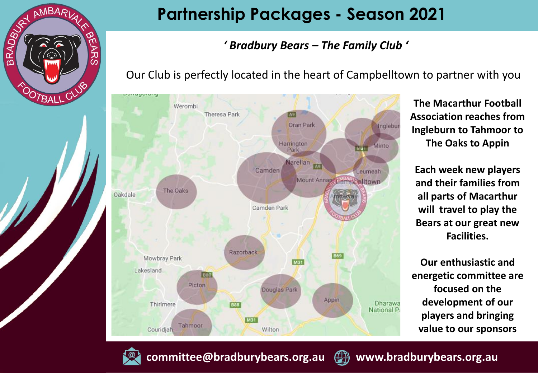

#### *' Bradbury Bears – The Family Club '*

Our Club is perfectly located in the heart of Campbelltown to partner with you



**The Macarthur Football Association reaches from Ingleburn to Tahmoor to The Oaks to Appin**

**Each week new players and their families from all parts of Macarthur will travel to play the Bears at our great new Facilities.**

**Our enthusiastic and energetic committee are focused on the development of our players and bringing value to our sponsors** 



**committee@bradburybears.org.au www.bradburybears.org.au**

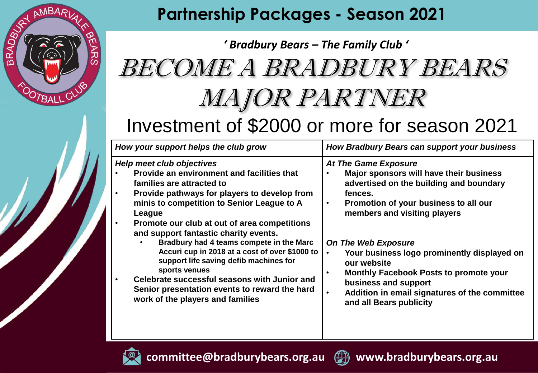

## *' Bradbury Bears – The Family Club '* BECOME A BRADBURY BEARS MAJOR PARTNER Investment of \$2000 or more for season 2021

| How your support helps the club grow                                                                                                                                                                                                                                                                                                                                                                                                                                                                                                                                                                                                              | How Bradbury Bears can support your business                                                                                                                                                                                                                                                                                                                                                                                                                              |
|---------------------------------------------------------------------------------------------------------------------------------------------------------------------------------------------------------------------------------------------------------------------------------------------------------------------------------------------------------------------------------------------------------------------------------------------------------------------------------------------------------------------------------------------------------------------------------------------------------------------------------------------------|---------------------------------------------------------------------------------------------------------------------------------------------------------------------------------------------------------------------------------------------------------------------------------------------------------------------------------------------------------------------------------------------------------------------------------------------------------------------------|
| <b>Help meet club objectives</b><br>Provide an environment and facilities that<br>$\bullet$<br>families are attracted to<br>Provide pathways for players to develop from<br>$\bullet$<br>minis to competition to Senior League to A<br>League<br>Promote our club at out of area competitions<br>$\bullet$<br>and support fantastic charity events.<br>Bradbury had 4 teams compete in the Marc<br>Accuri cup in 2018 at a cost of over \$1000 to<br>support life saving defib machines for<br>sports venues<br>Celebrate successful seasons with Junior and<br>Senior presentation events to reward the hard<br>work of the players and families | At The Game Exposure<br>Major sponsors will have their business<br>advertised on the building and boundary<br>fences.<br>Promotion of your business to all our<br>$\bullet$<br>members and visiting players<br><b>On The Web Exposure</b><br>Your business logo prominently displayed on<br>our website<br><b>Monthly Facebook Posts to promote your</b><br>$\bullet$<br>business and support<br>Addition in email signatures of the committee<br>and all Bears publicity |



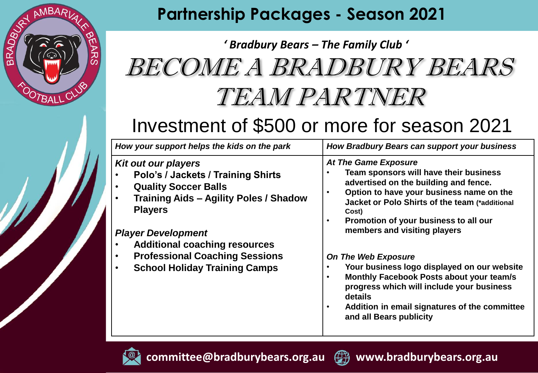

# *' Bradbury Bears – The Family Club '* BECOME A BRADBURY BEARS TEAM PARTNER

## Investment of \$500 or more for season 2021

| How your support helps the kids on the park                                                                                                                                                                                                                                                                                                                     | How Bradbury Bears can support your business                                                                                                                                                                                                                                                                                                                                                                                                                                                                                                                                                             |
|-----------------------------------------------------------------------------------------------------------------------------------------------------------------------------------------------------------------------------------------------------------------------------------------------------------------------------------------------------------------|----------------------------------------------------------------------------------------------------------------------------------------------------------------------------------------------------------------------------------------------------------------------------------------------------------------------------------------------------------------------------------------------------------------------------------------------------------------------------------------------------------------------------------------------------------------------------------------------------------|
| <b>Kit out our players</b><br>Polo's / Jackets / Training Shirts<br><b>Quality Soccer Balls</b><br>$\bullet$<br><b>Training Aids - Agility Poles / Shadow</b><br>$\bullet$<br><b>Players</b><br><b>Player Development</b><br><b>Additional coaching resources</b><br><b>Professional Coaching Sessions</b><br><b>School Holiday Training Camps</b><br>$\bullet$ | At The Game Exposure<br>Team sponsors will have their business<br>advertised on the building and fence.<br>Option to have your business name on the<br>$\bullet$<br>Jacket or Polo Shirts of the team (*additional<br>Cost)<br>Promotion of your business to all our<br>$\bullet$<br>members and visiting players<br><b>On The Web Exposure</b><br>Your business logo displayed on our website<br>Monthly Facebook Posts about your team/s<br>$\bullet$<br>progress which will include your business<br>details<br>Addition in email signatures of the committee<br>$\bullet$<br>and all Bears publicity |